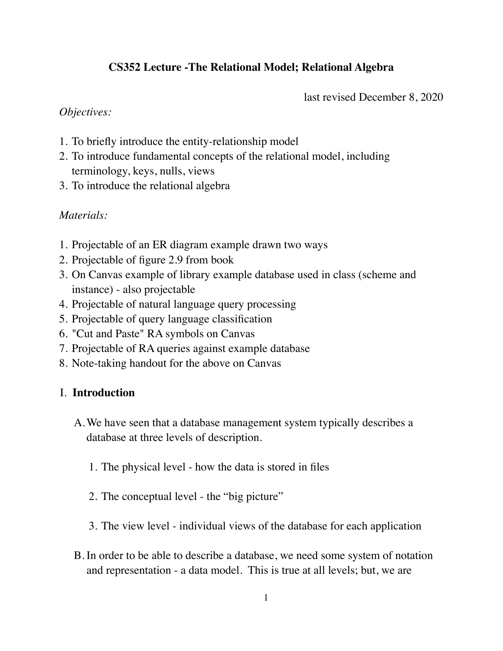# **CS352 Lecture -The Relational Model; Relational Algebra**

last revised December 8, 2020

### *Objectives:*

- 1. To briefly introduce the entity-relationship model
- 2. To introduce fundamental concepts of the relational model, including terminology, keys, nulls, views
- 3. To introduce the relational algebra

### *Materials:*

- 1. Projectable of an ER diagram example drawn two ways
- 2. Projectable of figure 2.9 from book
- 3. On Canvas example of library example database used in class (scheme and instance) - also projectable
- 4. Projectable of natural language query processing
- 5. Projectable of query language classification
- 6. "Cut and Paste" RA symbols on Canvas
- 7. Projectable of RA queries against example database
- 8. Note-taking handout for the above on Canvas

### I. **Introduction**

- A.We have seen that a database management system typically describes a database at three levels of description.
	- 1. The physical level how the data is stored in files
	- 2. The conceptual level the "big picture"
	- 3. The view level individual views of the database for each application
- B. In order to be able to describe a database, we need some system of notation and representation - a data model. This is true at all levels; but, we are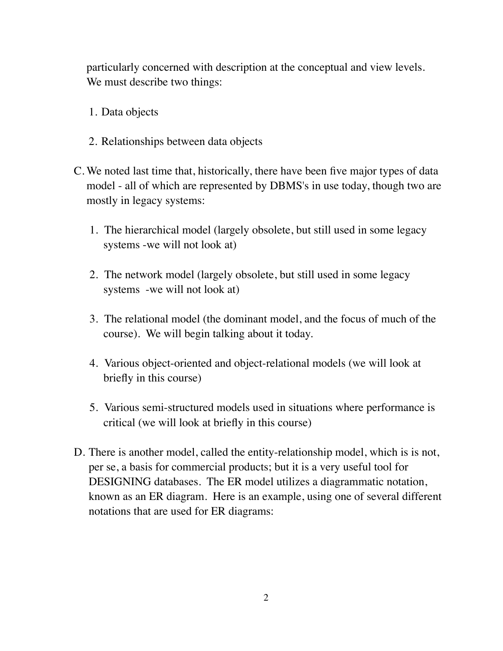particularly concerned with description at the conceptual and view levels. We must describe two things:

- 1. Data objects
- 2. Relationships between data objects
- C. We noted last time that, historically, there have been five major types of data model - all of which are represented by DBMS's in use today, though two are mostly in legacy systems:
	- 1. The hierarchical model (largely obsolete, but still used in some legacy systems -we will not look at)
	- 2. The network model (largely obsolete, but still used in some legacy systems -we will not look at)
	- 3. The relational model (the dominant model, and the focus of much of the course). We will begin talking about it today.
	- 4. Various object-oriented and object-relational models (we will look at briefly in this course)
	- 5. Various semi-structured models used in situations where performance is critical (we will look at briefly in this course)
- D. There is another model, called the entity-relationship model, which is is not, per se, a basis for commercial products; but it is a very useful tool for DESIGNING databases. The ER model utilizes a diagrammatic notation, known as an ER diagram. Here is an example, using one of several different notations that are used for ER diagrams: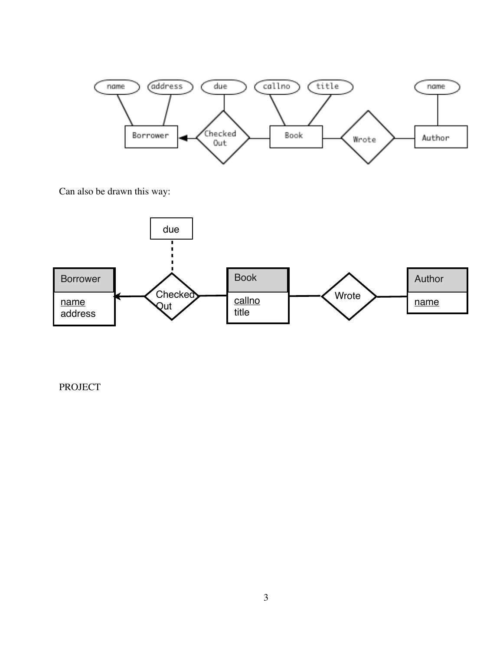

Can also be drawn this way:



PROJECT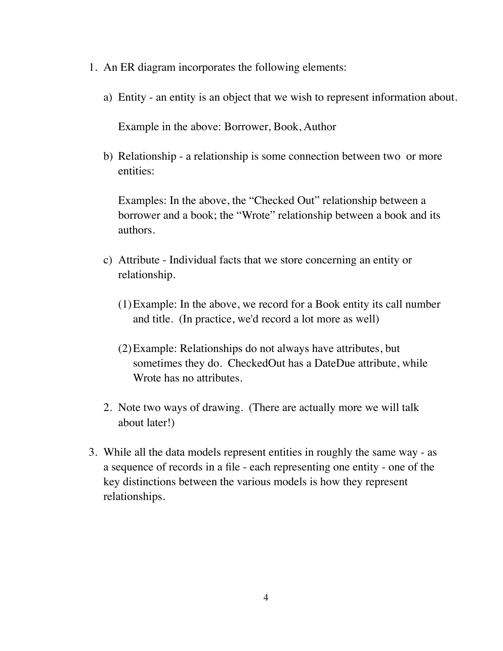- 1. An ER diagram incorporates the following elements:
	- a) Entity an entity is an object that we wish to represent information about.

Example in the above: Borrower, Book, Author

b) Relationship - a relationship is some connection between two or more entities:

Examples: In the above, the "Checked Out" relationship between a borrower and a book; the "Wrote" relationship between a book and its authors.

- c) Attribute Individual facts that we store concerning an entity or relationship.
	- (1)Example: In the above, we record for a Book entity its call number and title. (In practice, we'd record a lot more as well)
	- (2)Example: Relationships do not always have attributes, but sometimes they do. CheckedOut has a DateDue attribute, while Wrote has no attributes.
- 2. Note two ways of drawing. (There are actually more we will talk about later!)
- 3. While all the data models represent entities in roughly the same way as a sequence of records in a file - each representing one entity - one of the key distinctions between the various models is how they represent relationships.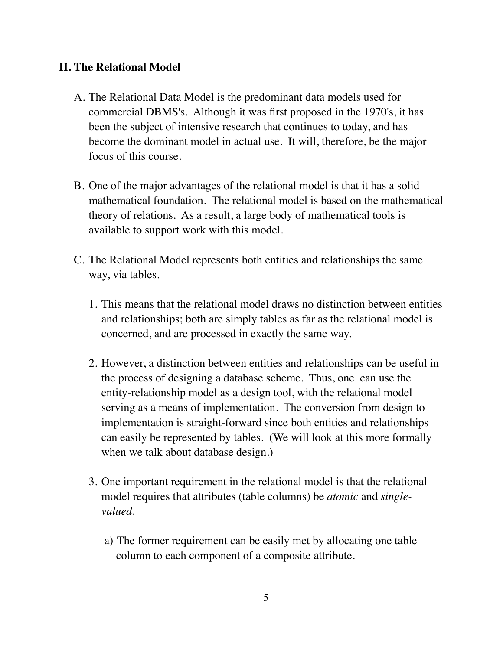## **II. The Relational Model**

- A. The Relational Data Model is the predominant data models used for commercial DBMS's. Although it was first proposed in the 1970's, it has been the subject of intensive research that continues to today, and has become the dominant model in actual use. It will, therefore, be the major focus of this course.
- B. One of the major advantages of the relational model is that it has a solid mathematical foundation. The relational model is based on the mathematical theory of relations. As a result, a large body of mathematical tools is available to support work with this model.
- C. The Relational Model represents both entities and relationships the same way, via tables.
	- 1. This means that the relational model draws no distinction between entities and relationships; both are simply tables as far as the relational model is concerned, and are processed in exactly the same way.
	- 2. However, a distinction between entities and relationships can be useful in the process of designing a database scheme. Thus, one can use the entity-relationship model as a design tool, with the relational model serving as a means of implementation. The conversion from design to implementation is straight-forward since both entities and relationships can easily be represented by tables. (We will look at this more formally when we talk about database design.)
	- 3. One important requirement in the relational model is that the relational model requires that attributes (table columns) be *atomic* and *singlevalued.*
		- a) The former requirement can be easily met by allocating one table column to each component of a composite attribute.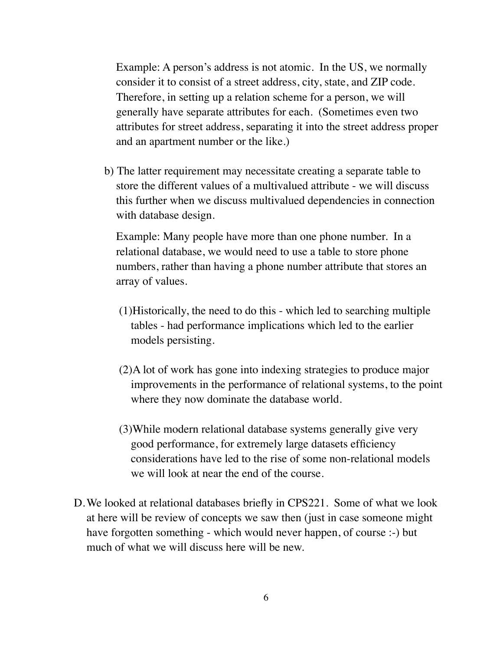Example: A person's address is not atomic. In the US, we normally consider it to consist of a street address, city, state, and ZIP code. Therefore, in setting up a relation scheme for a person, we will generally have separate attributes for each. (Sometimes even two attributes for street address, separating it into the street address proper and an apartment number or the like.)

b) The latter requirement may necessitate creating a separate table to store the different values of a multivalued attribute - we will discuss this further when we discuss multivalued dependencies in connection with database design.

Example: Many people have more than one phone number. In a relational database, we would need to use a table to store phone numbers, rather than having a phone number attribute that stores an array of values.

- (1)Historically, the need to do this which led to searching multiple tables - had performance implications which led to the earlier models persisting.
- (2)A lot of work has gone into indexing strategies to produce major improvements in the performance of relational systems, to the point where they now dominate the database world.
- (3)While modern relational database systems generally give very good performance, for extremely large datasets efficiency considerations have led to the rise of some non-relational models we will look at near the end of the course.
- D.We looked at relational databases briefly in CPS221. Some of what we look at here will be review of concepts we saw then (just in case someone might have forgotten something - which would never happen, of course :-) but much of what we will discuss here will be new.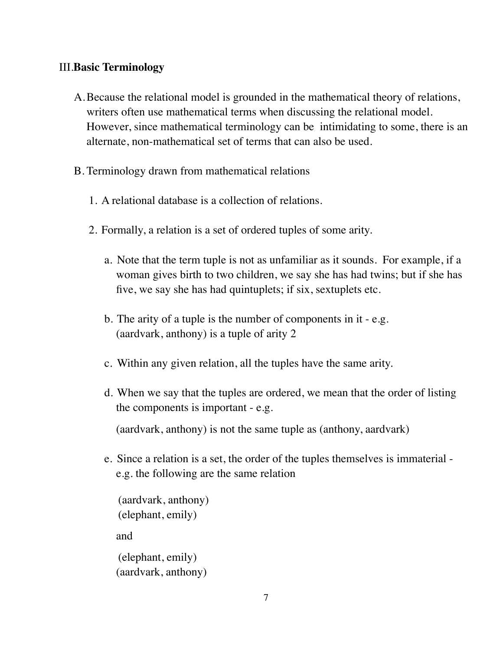## III.**Basic Terminology**

- A.Because the relational model is grounded in the mathematical theory of relations, writers often use mathematical terms when discussing the relational model. However, since mathematical terminology can be intimidating to some, there is an alternate, non-mathematical set of terms that can also be used.
- B. Terminology drawn from mathematical relations
	- 1. A relational database is a collection of relations.
	- 2. Formally, a relation is a set of ordered tuples of some arity.
		- a. Note that the term tuple is not as unfamiliar as it sounds. For example, if a woman gives birth to two children, we say she has had twins; but if she has five, we say she has had quintuplets; if six, sextuplets etc.
		- b. The arity of a tuple is the number of components in it e.g. (aardvark, anthony) is a tuple of arity 2
		- c. Within any given relation, all the tuples have the same arity.
		- d. When we say that the tuples are ordered, we mean that the order of listing the components is important - e.g.

(aardvark, anthony) is not the same tuple as (anthony, aardvark)

e. Since a relation is a set, the order of the tuples themselves is immaterial e.g. the following are the same relation

(aardvark, anthony) (elephant, emily) and (elephant, emily) (aardvark, anthony)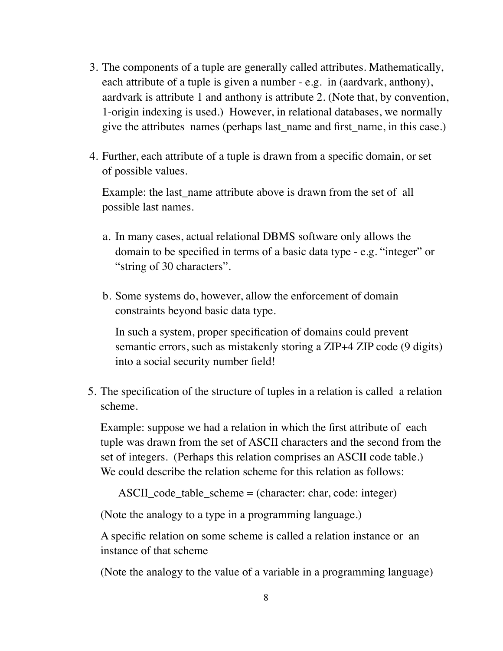- 3. The components of a tuple are generally called attributes. Mathematically, each attribute of a tuple is given a number - e.g. in (aardvark, anthony), aardvark is attribute 1 and anthony is attribute 2. (Note that, by convention, 1-origin indexing is used.) However, in relational databases, we normally give the attributes names (perhaps last name and first name, in this case.)
- 4. Further, each attribute of a tuple is drawn from a specific domain, or set of possible values.

Example: the last\_name attribute above is drawn from the set of all possible last names.

- a. In many cases, actual relational DBMS software only allows the domain to be specified in terms of a basic data type - e.g. "integer" or "string of 30 characters".
- b. Some systems do, however, allow the enforcement of domain constraints beyond basic data type.

In such a system, proper specification of domains could prevent semantic errors, such as mistakenly storing a ZIP+4 ZIP code (9 digits) into a social security number field!

5. The specification of the structure of tuples in a relation is called a relation scheme.

Example: suppose we had a relation in which the first attribute of each tuple was drawn from the set of ASCII characters and the second from the set of integers. (Perhaps this relation comprises an ASCII code table.) We could describe the relation scheme for this relation as follows:

ASCII\_code\_table\_scheme = (character: char, code: integer)

(Note the analogy to a type in a programming language.)

A specific relation on some scheme is called a relation instance or an instance of that scheme

(Note the analogy to the value of a variable in a programming language)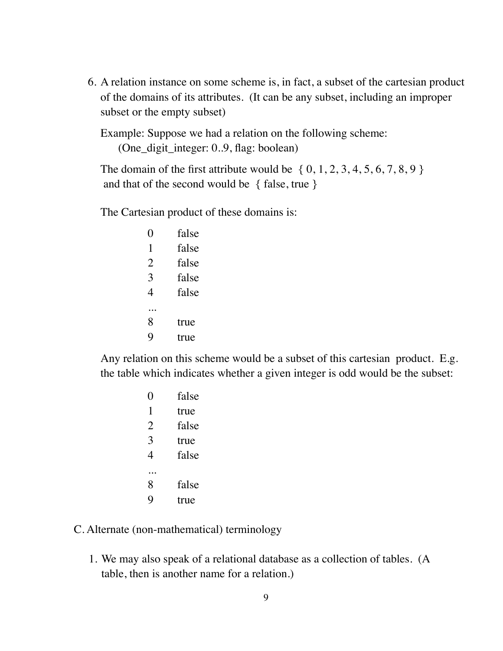6. A relation instance on some scheme is, in fact, a subset of the cartesian product of the domains of its attributes. (It can be any subset, including an improper subset or the empty subset)

Example: Suppose we had a relation on the following scheme: (One\_digit\_integer: 0..9, flag: boolean)

The domain of the first attribute would be  $\{0, 1, 2, 3, 4, 5, 6, 7, 8, 9\}$ and that of the second would be { false, true }

The Cartesian product of these domains is:

|   | false |
|---|-------|
| 1 | false |
| 2 | false |
| 3 | false |
| 4 | false |
|   |       |
| 8 | true  |
|   | rne   |

Any relation on this scheme would be a subset of this cartesian product. E.g. the table which indicates whether a given integer is odd would be the subset:

|   | false |
|---|-------|
| 1 | true  |
| 2 | false |
| 3 | true  |
| 4 | false |
|   |       |
| 8 | false |
|   | rue   |

## C. Alternate (non-mathematical) terminology

1. We may also speak of a relational database as a collection of tables. (A table, then is another name for a relation.)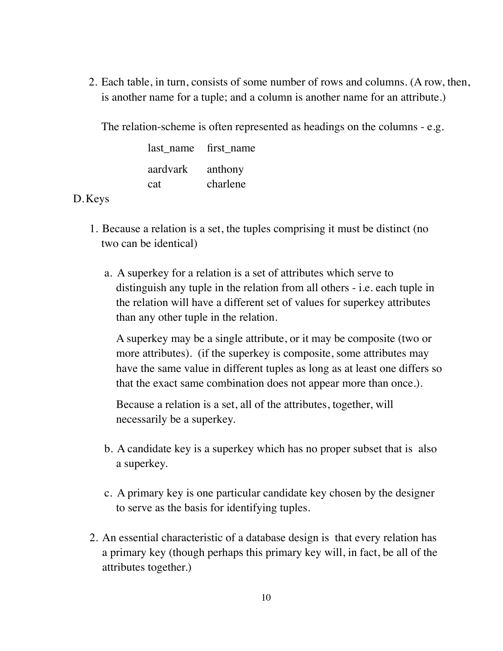2. Each table, in turn, consists of some number of rows and columns. (A row, then, is another name for a tuple; and a column is another name for an attribute.)

The relation-scheme is often represented as headings on the columns - e.g.

last name first name aardvark anthony cat charlene

## D.Keys

- 1. Because a relation is a set, the tuples comprising it must be distinct (no two can be identical)
	- a. A superkey for a relation is a set of attributes which serve to distinguish any tuple in the relation from all others - i.e. each tuple in the relation will have a different set of values for superkey attributes than any other tuple in the relation.

A superkey may be a single attribute, or it may be composite (two or more attributes). (if the superkey is composite, some attributes may have the same value in different tuples as long as at least one differs so that the exact same combination does not appear more than once.).

Because a relation is a set, all of the attributes, together, will necessarily be a superkey.

- b. A candidate key is a superkey which has no proper subset that is also a superkey.
- c. A primary key is one particular candidate key chosen by the designer to serve as the basis for identifying tuples.
- 2. An essential characteristic of a database design is that every relation has a primary key (though perhaps this primary key will, in fact, be all of the attributes together.)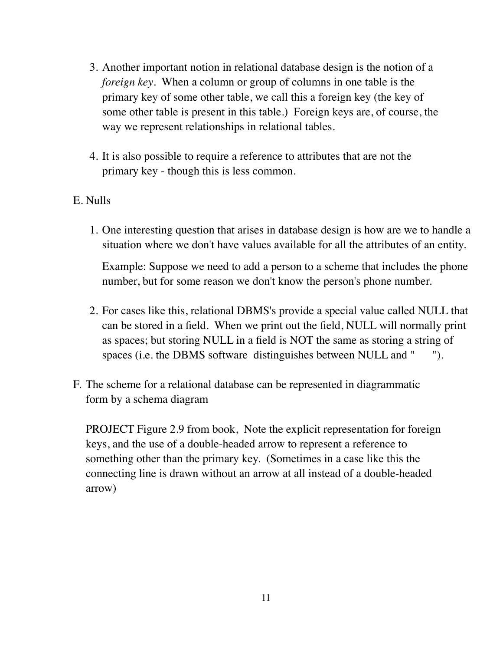- 3. Another important notion in relational database design is the notion of a *foreign key*. When a column or group of columns in one table is the primary key of some other table, we call this a foreign key (the key of some other table is present in this table.) Foreign keys are, of course, the way we represent relationships in relational tables.
- 4. It is also possible to require a reference to attributes that are not the primary key - though this is less common.
- E. Nulls
	- 1. One interesting question that arises in database design is how are we to handle a situation where we don't have values available for all the attributes of an entity.

Example: Suppose we need to add a person to a scheme that includes the phone number, but for some reason we don't know the person's phone number.

- 2. For cases like this, relational DBMS's provide a special value called NULL that can be stored in a field. When we print out the field, NULL will normally print as spaces; but storing NULL in a field is NOT the same as storing a string of spaces (i.e. the DBMS software distinguishes between NULL and " ").
- F. The scheme for a relational database can be represented in diagrammatic form by a schema diagram

PROJECT Figure 2.9 from book, Note the explicit representation for foreign keys, and the use of a double-headed arrow to represent a reference to something other than the primary key. (Sometimes in a case like this the connecting line is drawn without an arrow at all instead of a double-headed arrow)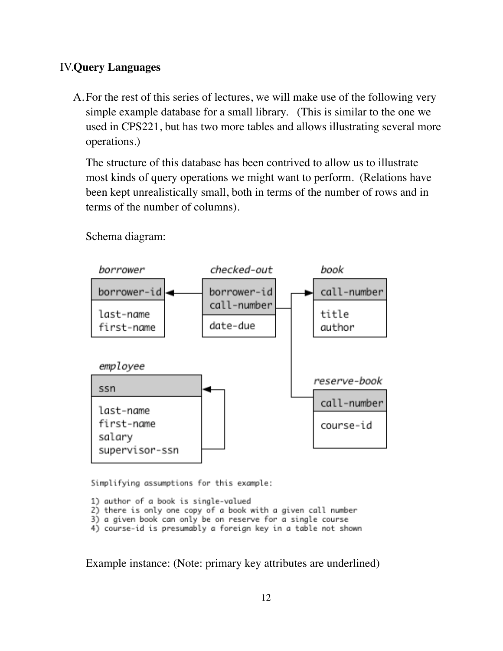# IV.**Query Languages**

A.For the rest of this series of lectures, we will make use of the following very simple example database for a small library. (This is similar to the one we used in CPS221, but has two more tables and allows illustrating several more operations.)

The structure of this database has been contrived to allow us to illustrate most kinds of query operations we might want to perform. (Relations have been kept unrealistically small, both in terms of the number of rows and in terms of the number of columns).



Schema diagram:

Simplifying assumptions for this example:

- 1) author of a book is single-valued
- 2) there is only one copy of a book with a given call number
- 3) a given book can only be on reserve for a single course
- 4) course-id is presumably a foreign key in a table not shown

Example instance: (Note: primary key attributes are underlined)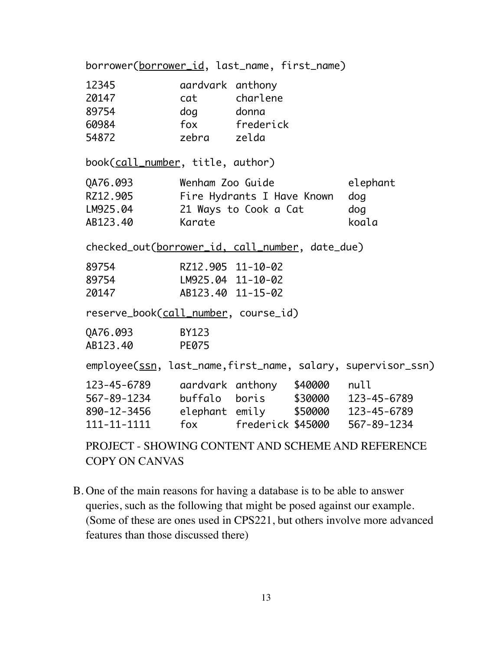borrower(borrower\_id, last\_name, first\_name) 12345 aardvark anthony 20147 cat charlene 89754 dog donna 60984 fox frederick 54872 zebra zelda book(call\_number, title, author) QA76.093 Wenham Zoo Guide elephant RZ12.905 Fire Hydrants I Have Known dog LM925.04 21 Ways to Cook a Cat dog AB123.40 Karate koala checked\_out(borrower\_id, call\_number, date\_due) 89754 RZ12.905 11-10-02 89754 LM925.04 11-10-02 20147 AB123.40 11-15-02 reserve\_book(call\_number, course\_id) QA76.093 BY123 AB123.40 PE075 employee(ssn, last\_name,first\_name, salary, supervisor\_ssn) 123-45-6789 aardvark anthony \$40000 null 567-89-1234 buffalo boris \$30000 123-45-6789 890-12-3456 elephant emily \$50000 123-45-6789 111-11-1111 fox frederick \$45000 567-89-1234

PROJECT - SHOWING CONTENT AND SCHEME AND REFERENCE COPY ON CANVAS

B. One of the main reasons for having a database is to be able to answer queries, such as the following that might be posed against our example. (Some of these are ones used in CPS221, but others involve more advanced features than those discussed there)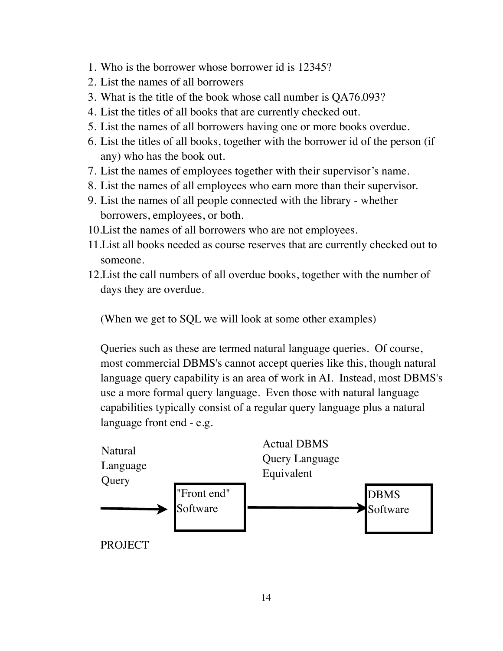- 1. Who is the borrower whose borrower id is 12345?
- 2. List the names of all borrowers
- 3. What is the title of the book whose call number is QA76.093?
- 4. List the titles of all books that are currently checked out.
- 5. List the names of all borrowers having one or more books overdue.
- 6. List the titles of all books, together with the borrower id of the person (if any) who has the book out.
- 7. List the names of employees together with their supervisor's name.
- 8. List the names of all employees who earn more than their supervisor.
- 9. List the names of all people connected with the library whether borrowers, employees, or both.
- 10.List the names of all borrowers who are not employees.
- 11.List all books needed as course reserves that are currently checked out to someone.
- 12.List the call numbers of all overdue books, together with the number of days they are overdue.

(When we get to SQL we will look at some other examples)

Queries such as these are termed natural language queries. Of course, most commercial DBMS's cannot accept queries like this, though natural language query capability is an area of work in AI. Instead, most DBMS's use a more formal query language. Even those with natural language capabilities typically consist of a regular query language plus a natural language front end - e.g.

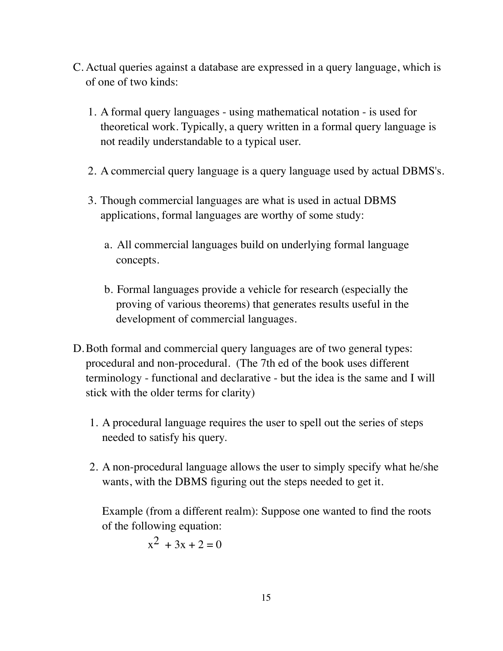- C. Actual queries against a database are expressed in a query language, which is of one of two kinds:
	- 1. A formal query languages using mathematical notation is used for theoretical work. Typically, a query written in a formal query language is not readily understandable to a typical user.
	- 2. A commercial query language is a query language used by actual DBMS's.
	- 3. Though commercial languages are what is used in actual DBMS applications, formal languages are worthy of some study:
		- a. All commercial languages build on underlying formal language concepts.
		- b. Formal languages provide a vehicle for research (especially the proving of various theorems) that generates results useful in the development of commercial languages.
- D.Both formal and commercial query languages are of two general types: procedural and non-procedural. (The 7th ed of the book uses different terminology - functional and declarative - but the idea is the same and I will stick with the older terms for clarity)
	- 1. A procedural language requires the user to spell out the series of steps needed to satisfy his query.
	- 2. A non-procedural language allows the user to simply specify what he/she wants, with the DBMS figuring out the steps needed to get it.

Example (from a different realm): Suppose one wanted to find the roots of the following equation:

$$
x^2 + 3x + 2 = 0
$$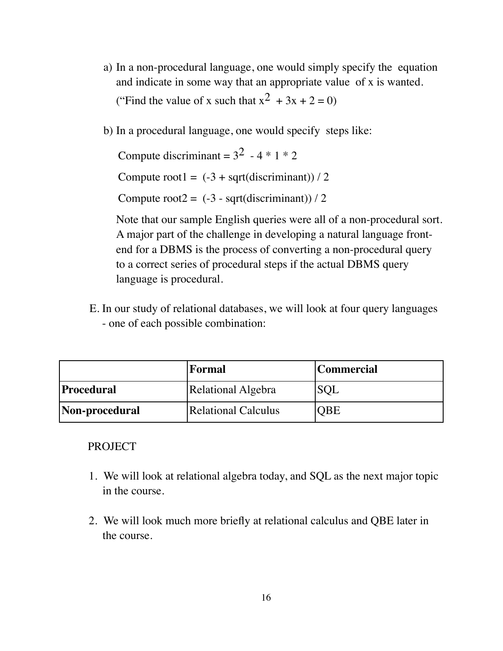- a) In a non-procedural language, one would simply specify the equation and indicate in some way that an appropriate value of x is wanted. ("Find the value of x such that  $x^2 + 3x + 2 = 0$ )
- b) In a procedural language, one would specify steps like:

Compute discriminant =  $3^2$  - 4  $*$  1  $*$  2

Compute root1 =  $(-3 + \sqrt{3} + \sqrt{3})$  / 2

Compute root $2 = (-3 - \sqrt{3})$  - sqrt(discriminant)) / 2

Note that our sample English queries were all of a non-procedural sort. A major part of the challenge in developing a natural language frontend for a DBMS is the process of converting a non-procedural query to a correct series of procedural steps if the actual DBMS query language is procedural.

E. In our study of relational databases, we will look at four query languages - one of each possible combination:

|                   | <b> Formal</b>      | Commercial |
|-------------------|---------------------|------------|
| <b>Procedural</b> | Relational Algebra  | SQL        |
| Non-procedural    | Relational Calculus | QBE        |

### PROJECT

- 1. We will look at relational algebra today, and SQL as the next major topic in the course.
- 2. We will look much more briefly at relational calculus and QBE later in the course.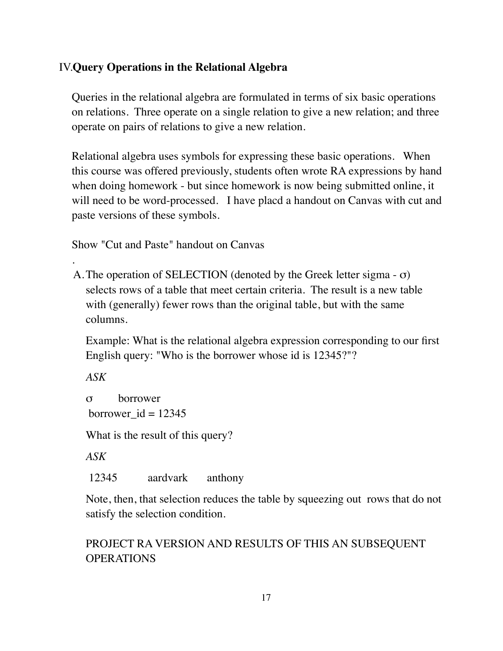# IV.**Query Operations in the Relational Algebra**

Queries in the relational algebra are formulated in terms of six basic operations on relations. Three operate on a single relation to give a new relation; and three operate on pairs of relations to give a new relation.

Relational algebra uses symbols for expressing these basic operations. When this course was offered previously, students often wrote RA expressions by hand when doing homework - but since homework is now being submitted online, it will need to be word-processed. I have placd a handout on Canvas with cut and paste versions of these symbols.

Show "Cut and Paste" handout on Canvas

A.The operation of SELECTION (denoted by the Greek letter sigma - σ) selects rows of a table that meet certain criteria. The result is a new table with (generally) fewer rows than the original table, but with the same columns.

Example: What is the relational algebra expression corresponding to our first English query: "Who is the borrower whose id is 12345?"?

*ASK*

.

σ borrower borrower  $id = 12345$ 

What is the result of this query?

*ASK*

12345 aardvark anthony

Note, then, that selection reduces the table by squeezing out rows that do not satisfy the selection condition.

PROJECT RA VERSION AND RESULTS OF THIS AN SUBSEQUENT OPERATIONS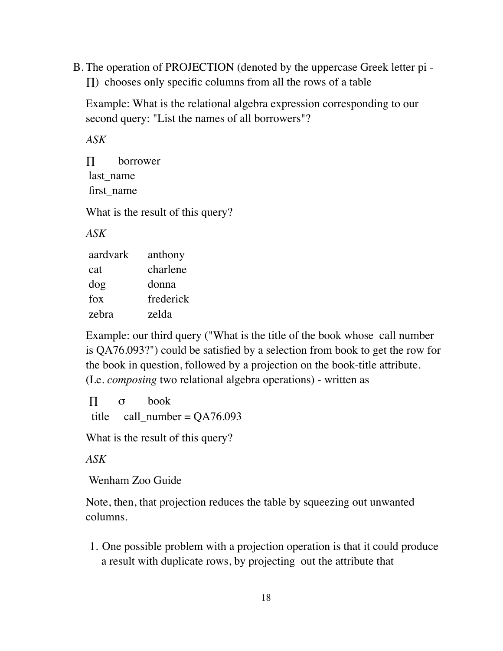B. The operation of PROJECTION (denoted by the uppercase Greek letter pi - ∏) chooses only specific columns from all the rows of a table

Example: What is the relational algebra expression corresponding to our second query: "List the names of all borrowers"?

*ASK*

∏ borrower last name first\_name

What is the result of this query?

*ASK*

| aardvark | anthony   |
|----------|-----------|
| cat      | charlene  |
| dog      | donna     |
| fox      | frederick |
| zebra    | zelda     |

Example: our third query ("What is the title of the book whose call number is QA76.093?") could be satisfied by a selection from book to get the row for the book in question, followed by a projection on the book-title attribute. (I.e. *composing* two relational algebra operations) - written as

∏ σ book title call\_number =  $QA76.093$ 

What is the result of this query?

*ASK*

Wenham Zoo Guide

Note, then, that projection reduces the table by squeezing out unwanted columns.

1. One possible problem with a projection operation is that it could produce a result with duplicate rows, by projecting out the attribute that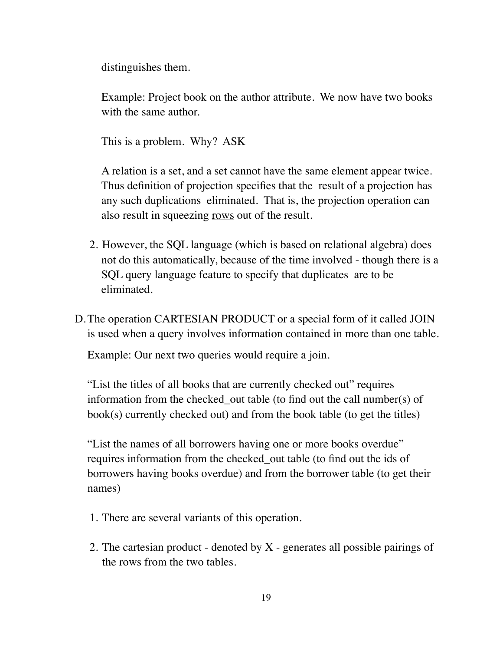distinguishes them.

Example: Project book on the author attribute. We now have two books with the same author.

This is a problem. Why? ASK

A relation is a set, and a set cannot have the same element appear twice. Thus definition of projection specifies that the result of a projection has any such duplications eliminated. That is, the projection operation can also result in squeezing rows out of the result.

- 2. However, the SQL language (which is based on relational algebra) does not do this automatically, because of the time involved - though there is a SQL query language feature to specify that duplicates are to be eliminated.
- D.The operation CARTESIAN PRODUCT or a special form of it called JOIN is used when a query involves information contained in more than one table.

Example: Our next two queries would require a join.

"List the titles of all books that are currently checked out" requires information from the checked out table (to find out the call number(s) of book(s) currently checked out) and from the book table (to get the titles)

"List the names of all borrowers having one or more books overdue" requires information from the checked\_out table (to find out the ids of borrowers having books overdue) and from the borrower table (to get their names)

- 1. There are several variants of this operation.
- 2. The cartesian product denoted by X generates all possible pairings of the rows from the two tables.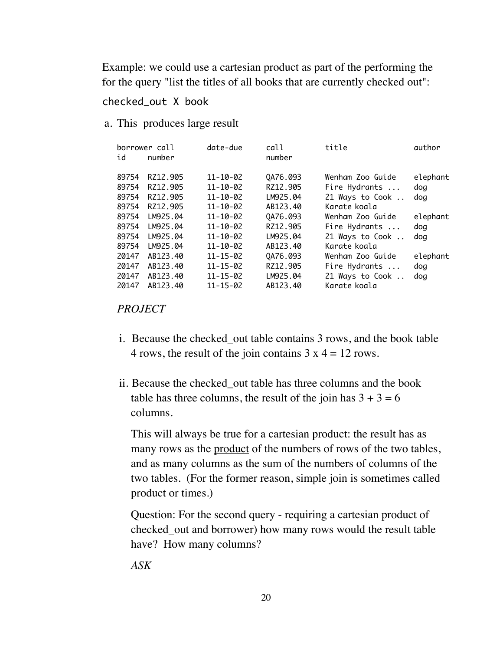Example: we could use a cartesian product as part of the performing the for the query "list the titles of all books that are currently checked out":

#### checked\_out X book

a. This produces large result

| id    | borrower call<br>number | date-due       | call<br>number | title            | author   |
|-------|-------------------------|----------------|----------------|------------------|----------|
| 89754 | RZ12.905                | $11 - 10 - 02$ | QA76.093       | Wenham Zoo Guide | elephant |
| 89754 | RZ12.905                | $11 - 10 - 02$ | RZ12.905       | Fire Hydrants    | dog      |
| 89754 | RZ12.905                | $11 - 10 - 02$ | LM925.04       | 21 Ways to Cook  | dog      |
| 89754 | RZ12.905                | $11 - 10 - 02$ | AB123.40       | Karate koala     |          |
| 89754 | LM925.04                | $11 - 10 - 02$ | QA76.093       | Wenham Zoo Guide | elephant |
| 89754 | LM925.04                | $11 - 10 - 02$ | RZ12.905       | Fire Hydrants    | dog      |
| 89754 | LM925.04                | $11 - 10 - 02$ | LM925.04       | 21 Ways to Cook  | dog      |
| 89754 | LM925.04                | $11 - 10 - 02$ | AB123.40       | Karate koala     |          |
| 20147 | AB123.40                | $11 - 15 - 02$ | QA76.093       | Wenham Zoo Guide | elephant |
| 20147 | AB123.40                | $11 - 15 - 02$ | RZ12.905       | Fire Hydrants    | dog      |
| 20147 | AB123.40                | $11 - 15 - 02$ | LM925.04       | 21 Ways to Cook  | dog      |
| 20147 | AB123.40                | $11 - 15 - 02$ | AB123.40       | Karate koala     |          |

### *PROJECT*

- i. Because the checked\_out table contains 3 rows, and the book table 4 rows, the result of the join contains  $3 \times 4 = 12$  rows.
- ii. Because the checked\_out table has three columns and the book table has three columns, the result of the join has  $3 + 3 = 6$ columns.

This will always be true for a cartesian product: the result has as many rows as the product of the numbers of rows of the two tables, and as many columns as the sum of the numbers of columns of the two tables. (For the former reason, simple join is sometimes called product or times.)

Question: For the second query - requiring a cartesian product of checked\_out and borrower) how many rows would the result table have? How many columns?

*ASK*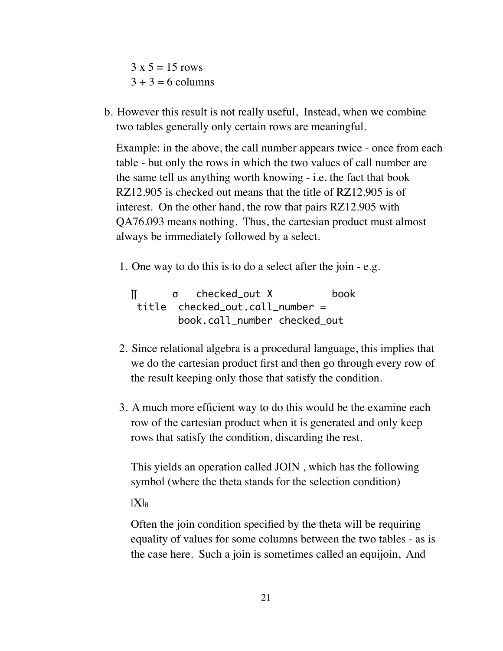$3 \times 5 = 15 \text{ rows}$  $3 + 3 = 6$  columns

b. However this result is not really useful, Instead, when we combine two tables generally only certain rows are meaningful.

Example: in the above, the call number appears twice - once from each table - but only the rows in which the two values of call number are the same tell us anything worth knowing - i.e. the fact that book RZ12.905 is checked out means that the title of RZ12.905 is of interest. On the other hand, the row that pairs RZ12.905 with QA76.093 means nothing. Thus, the cartesian product must almost always be immediately followed by a select.

1. One way to do this is to do a select after the join - e.g.

∏ σ checked\_out Χ book title checked\_out.call\_number = book.call\_number checked\_out

- 2. Since relational algebra is a procedural language, this implies that we do the cartesian product first and then go through every row of the result keeping only those that satisfy the condition.
- 3. A much more efficient way to do this would be the examine each row of the cartesian product when it is generated and only keep rows that satisfy the condition, discarding the rest.

This yields an operation called JOIN , which has the following symbol (where the theta stands for the selection condition)

 $|X|_{\theta}$ 

Often the join condition specified by the theta will be requiring equality of values for some columns between the two tables - as is the case here. Such a join is sometimes called an equijoin, And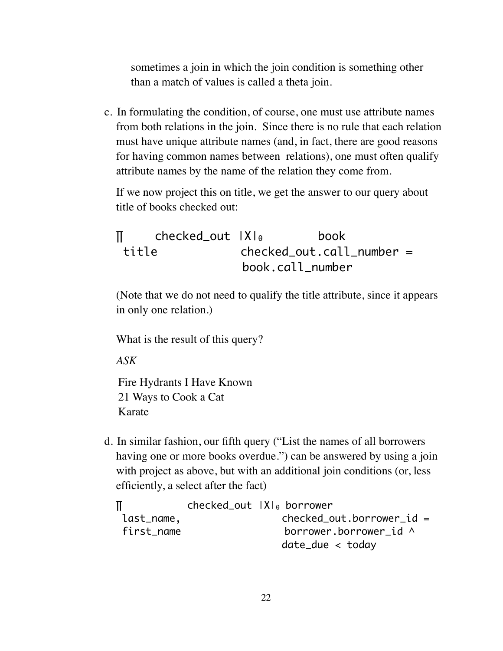sometimes a join in which the join condition is something other than a match of values is called a theta join.

c. In formulating the condition, of course, one must use attribute names from both relations in the join. Since there is no rule that each relation must have unique attribute names (and, in fact, there are good reasons for having common names between relations), one must often qualify attribute names by the name of the relation they come from.

If we now project this on title, we get the answer to our query about title of books checked out:

```
∏ checked_out |Χ|θ book
title checked out.call number =
               book.call_number
```
(Note that we do not need to qualify the title attribute, since it appears in only one relation.)

What is the result of this query?

*ASK*

Fire Hydrants I Have Known 21 Ways to Cook a Cat Karate

d. In similar fashion, our fifth query ("List the names of all borrowers having one or more books overdue.") can be answered by using a join with project as above, but with an additional join conditions (or, less efficiently, a select after the fact)

|            | $cheched_out$ $ X _0$ borrower |
|------------|--------------------------------|
| last_name, | $checked_out.borrower_id =$    |
| first_name | borrower.borrower id $\wedge$  |
|            | $date\_due <$ today            |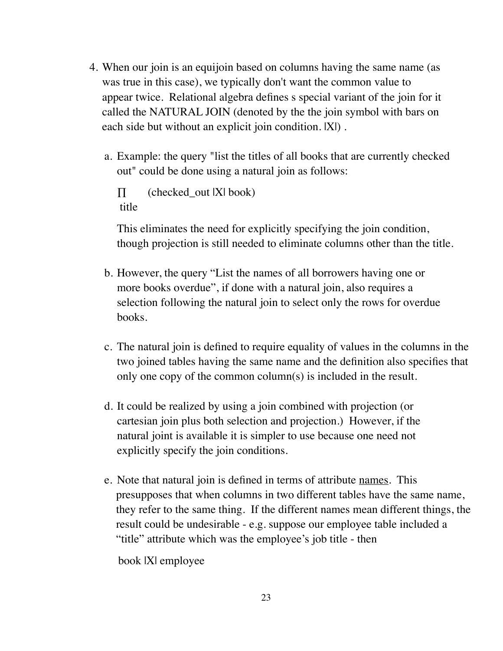- 4. When our join is an equijoin based on columns having the same name (as was true in this case), we typically don't want the common value to appear twice. Relational algebra defines s special variant of the join for it called the NATURAL JOIN (denoted by the the join symbol with bars on each side but without an explicit join condition.  $|X|$ ).
	- a. Example: the query "list the titles of all books that are currently checked out" could be done using a natural join as follows:

 $\Pi$  (checked\_out  $|X|$  book) title

This eliminates the need for explicitly specifying the join condition, though projection is still needed to eliminate columns other than the title.

- b. However, the query "List the names of all borrowers having one or more books overdue", if done with a natural join, also requires a selection following the natural join to select only the rows for overdue books.
- c. The natural join is defined to require equality of values in the columns in the two joined tables having the same name and the definition also specifies that only one copy of the common column(s) is included in the result.
- d. It could be realized by using a join combined with projection (or cartesian join plus both selection and projection.) However, if the natural joint is available it is simpler to use because one need not explicitly specify the join conditions.
- e. Note that natural join is defined in terms of attribute names. This presupposes that when columns in two different tables have the same name, they refer to the same thing. If the different names mean different things, the result could be undesirable - e.g. suppose our employee table included a "title" attribute which was the employee's job title - then

book |X| employee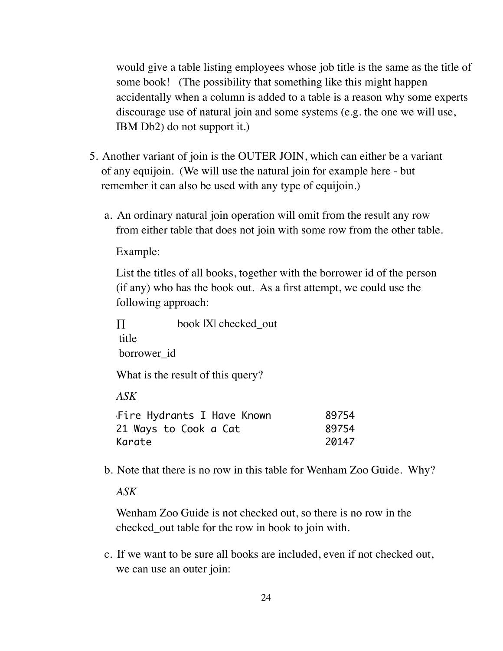would give a table listing employees whose job title is the same as the title of some book! (The possibility that something like this might happen accidentally when a column is added to a table is a reason why some experts discourage use of natural join and some systems (e.g. the one we will use, IBM Db2) do not support it.)

- 5. Another variant of join is the OUTER JOIN, which can either be a variant of any equijoin. (We will use the natural join for example here - but remember it can also be used with any type of equijoin.)
	- a. An ordinary natural join operation will omit from the result any row from either table that does not join with some row from the other table.

Example:

List the titles of all books, together with the borrower id of the person (if any) who has the book out. As a first attempt, we could use the following approach:

∏ book |X| checked\_out title borrower\_id What is the result of this query?

*ASK*

| Fire Hydrants I Have Known\ | 89754 |
|-----------------------------|-------|
| 21 Ways to Cook a Cat       | 89754 |
| Karate                      | 20147 |

b. Note that there is no row in this table for Wenham Zoo Guide. Why?

*ASK*

Wenham Zoo Guide is not checked out, so there is no row in the checked\_out table for the row in book to join with.

c. If we want to be sure all books are included, even if not checked out, we can use an outer join: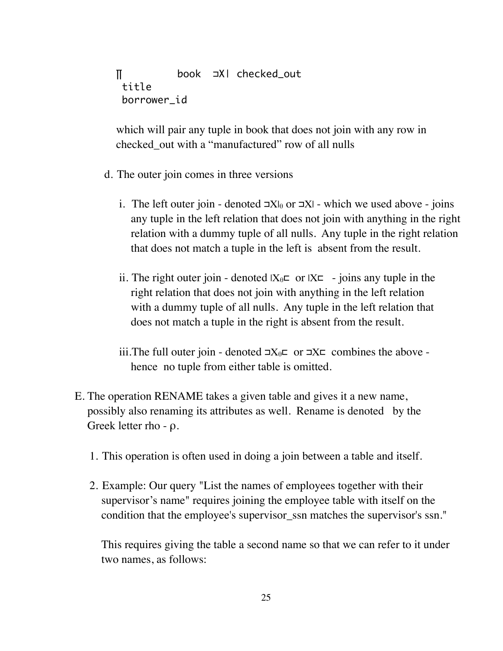∏ book ⊐Χ| checked\_out title borrower\_id

which will pair any tuple in book that does not join with any row in checked\_out with a "manufactured" row of all nulls

- d. The outer join comes in three versions
	- i. The left outer join denoted  $\exists X\vert_{\theta}$  or  $\exists X\vert$  which we used above joins any tuple in the left relation that does not join with anything in the right relation with a dummy tuple of all nulls. Any tuple in the right relation that does not match a tuple in the left is absent from the result.
	- ii. The right outer join denoted  $|X_{\theta} \mathsf{E}$  or  $|X \mathsf{E}$  joins any tuple in the right relation that does not join with anything in the left relation with a dummy tuple of all nulls. Any tuple in the left relation that does not match a tuple in the right is absent from the result.
	- iii.The full outer join denoted  $\exists X_{\theta} \sqsubset \neg X \sqsubset \neg Y$  combines the above hence no tuple from either table is omitted.
- E. The operation RENAME takes a given table and gives it a new name, possibly also renaming its attributes as well. Rename is denoted by the Greek letter rho - ρ.
	- 1. This operation is often used in doing a join between a table and itself.
	- 2. Example: Our query "List the names of employees together with their supervisor's name" requires joining the employee table with itself on the condition that the employee's supervisor\_ssn matches the supervisor's ssn."

This requires giving the table a second name so that we can refer to it under two names, as follows: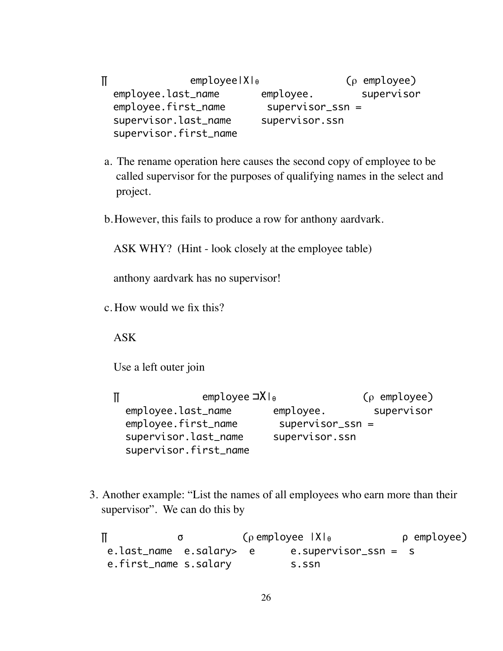$\P$  employee|X| $θ$  (ρ employee) employee.last\_name employee. supervisor employee.first\_name supervisor\_ssn = supervisor.last\_name supervisor.ssn supervisor.first\_name

- a. The rename operation here causes the second copy of employee to be called supervisor for the purposes of qualifying names in the select and project.
- b.However, this fails to produce a row for anthony aardvark.

ASK WHY? (Hint - look closely at the employee table)

anthony aardvark has no supervisor!

c. How would we fix this?

ASK

Use a left outer join

 $\Pi$  employee ⊐XIθ (ρ employee) employee.last\_name employee. supervisor employee.first\_name supervisor\_ssn = supervisor.last\_name supervisor.ssn supervisor.first\_name

3. Another example: "List the names of all employees who earn more than their supervisor". We can do this by

∏ σ (ρ employee |Χ|<sup>θ</sup> ρ employee) e.last\_name e.salary> e e.supervisor\_ssn = s e.first\_name s.salary s.ssn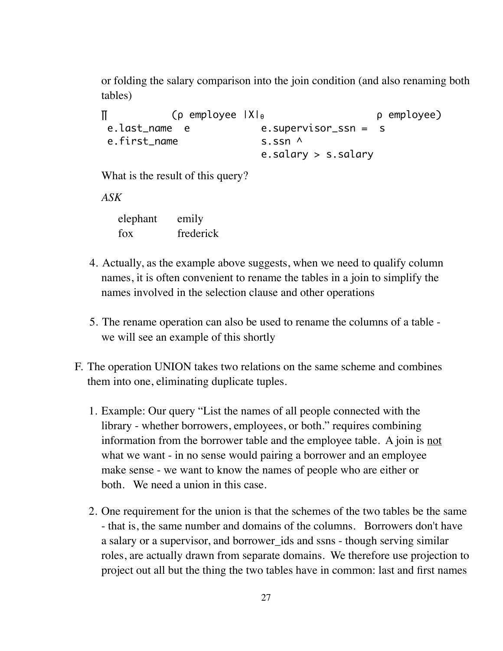or folding the salary comparison into the join condition (and also renaming both tables)

```
∏ (ρ employee |Χ|θ ρ employee)
e.last name e e.supervisor ssn = s
e.first name s.ssn ^
                   e.salary > s.salary
```
What is the result of this query?

*ASK*

| elephant | emily     |
|----------|-----------|
| fox      | frederick |

- 4. Actually, as the example above suggests, when we need to qualify column names, it is often convenient to rename the tables in a join to simplify the names involved in the selection clause and other operations
- 5. The rename operation can also be used to rename the columns of a table we will see an example of this shortly
- F. The operation UNION takes two relations on the same scheme and combines them into one, eliminating duplicate tuples.
	- 1. Example: Our query "List the names of all people connected with the library - whether borrowers, employees, or both." requires combining information from the borrower table and the employee table. A join is <u>not</u> what we want - in no sense would pairing a borrower and an employee make sense - we want to know the names of people who are either or both. We need a union in this case.
	- 2. One requirement for the union is that the schemes of the two tables be the same - that is, the same number and domains of the columns. Borrowers don't have a salary or a supervisor, and borrower ids and ssns - though serving similar roles, are actually drawn from separate domains. We therefore use projection to project out all but the thing the two tables have in common: last and first names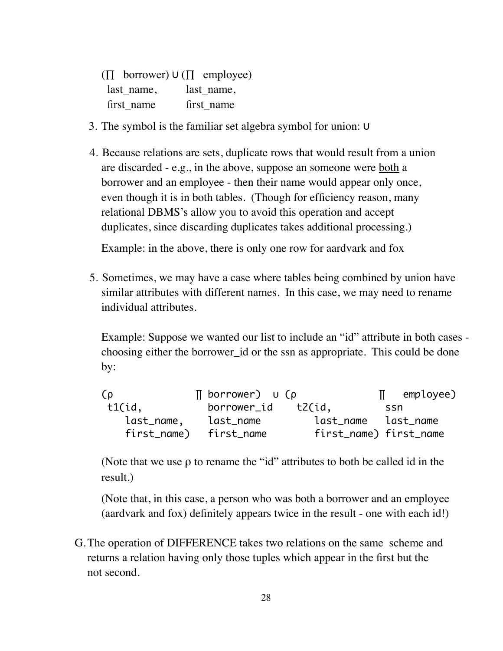|            | $(\Pi$ borrower) $\cup$ $(\Pi$ employee) |
|------------|------------------------------------------|
| last name, | last name,                               |
| first name | first name                               |

- 3. The symbol is the familiar set algebra symbol for union: ∪
- 4. Because relations are sets, duplicate rows that would result from a union are discarded - e.g., in the above, suppose an someone were both a borrower and an employee - then their name would appear only once, even though it is in both tables. (Though for efficiency reason, many relational DBMS's allow you to avoid this operation and accept duplicates, since discarding duplicates takes additional processing.)

Example: in the above, there is only one row for aardvark and fox

5. Sometimes, we may have a case where tables being combined by union have similar attributes with different names. In this case, we may need to rename individual attributes.

Example: Suppose we wanted our list to include an "id" attribute in both cases choosing either the borrower\_id or the ssn as appropriate. This could be done by:

| $\sigma$    | $\P$ borrower) $\cup$ (p |                        | $\mathbb{I}$ employee) |  |
|-------------|--------------------------|------------------------|------------------------|--|
| t1(id,      | borrower_id              | t2(id,                 | .ssn                   |  |
| last_name,  | last_name                | last_name last_name    |                        |  |
| first_name) | first_name               | first_name) first_name |                        |  |

(Note that we use  $\rho$  to rename the "id" attributes to both be called id in the result.)

(Note that, in this case, a person who was both a borrower and an employee (aardvark and fox) definitely appears twice in the result - one with each id!)

G.The operation of DIFFERENCE takes two relations on the same scheme and returns a relation having only those tuples which appear in the first but the not second.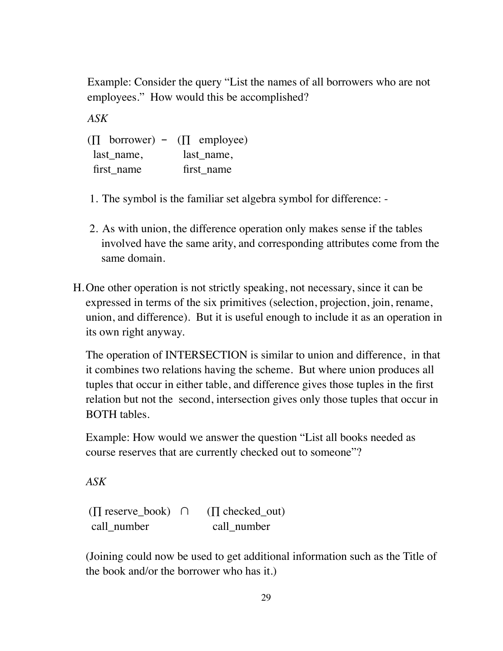Example: Consider the query "List the names of all borrowers who are not employees." How would this be accomplished?

*ASK*

 $(\Pi$  borrower) –  $(\Pi$  employee) last name, last name, first name first name

- 1. The symbol is the familiar set algebra symbol for difference: -
- 2. As with union, the difference operation only makes sense if the tables involved have the same arity, and corresponding attributes come from the same domain.
- H.One other operation is not strictly speaking, not necessary, since it can be expressed in terms of the six primitives (selection, projection, join, rename, union, and difference). But it is useful enough to include it as an operation in its own right anyway.

The operation of INTERSECTION is similar to union and difference, in that it combines two relations having the scheme. But where union produces all tuples that occur in either table, and difference gives those tuples in the first relation but not the second, intersection gives only those tuples that occur in BOTH tables.

Example: How would we answer the question "List all books needed as course reserves that are currently checked out to someone"?

*ASK*

 $(\Pi \text{ reserve book}) \cap (\Pi \text{ checked out})$ call\_number call\_number

(Joining could now be used to get additional information such as the Title of the book and/or the borrower who has it.)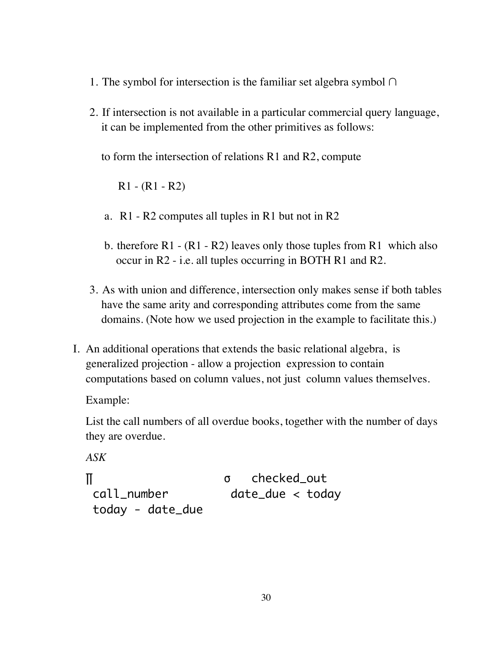- 1. The symbol for intersection is the familiar set algebra symbol ∩
- 2. If intersection is not available in a particular commercial query language, it can be implemented from the other primitives as follows:

to form the intersection of relations R1 and R2, compute

R1 - (R1 - R2)

- a. R1 R2 computes all tuples in R1 but not in R2
- b. therefore R1  $(R1 R2)$  leaves only those tuples from R1 which also occur in R2 - i.e. all tuples occurring in BOTH R1 and R2.
- 3. As with union and difference, intersection only makes sense if both tables have the same arity and corresponding attributes come from the same domains. (Note how we used projection in the example to facilitate this.)
- I. An additional operations that extends the basic relational algebra, is generalized projection - allow a projection expression to contain computations based on column values, not just column values themselves.

Example:

List the call numbers of all overdue books, together with the number of days they are overdue.

*ASK* 

∏ σ checked\_out call\_number date\_due < today today - date\_due